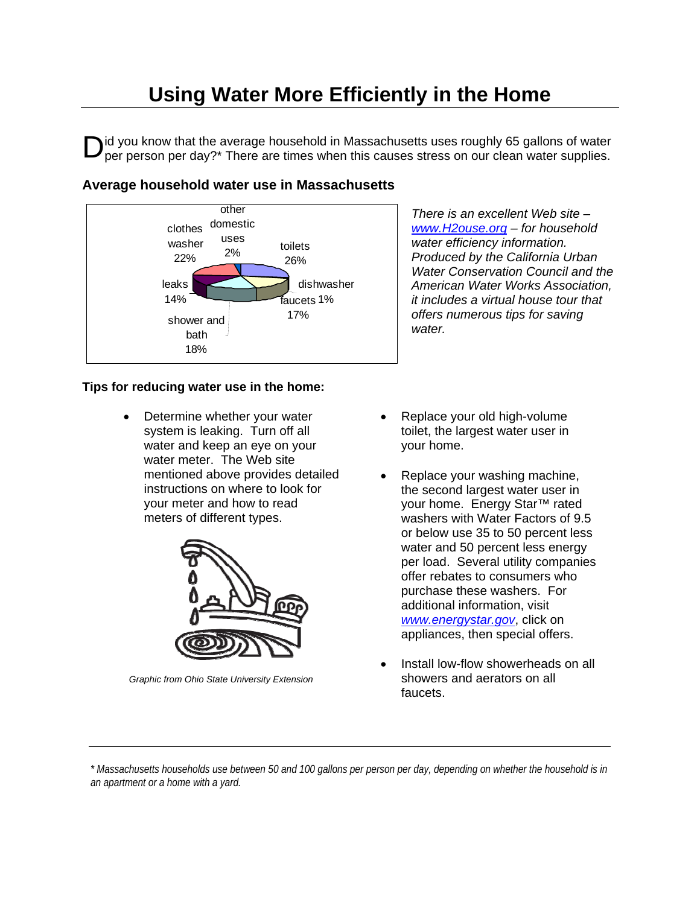## **Using Water More Efficiently in the Home**

 $\mathbf{D}$ id you know that the average household in Massachusetts uses roughly 65 gallons of water supplies. per person per day?\* There are times when this causes stress on our clean water supplies.



*There is an excellent Web site – www.H2ouse.org – for household water efficiency information. Produced by the California Urban Water Conservation Council and the American Water Works Association, it includes a virtual house tour that offers numerous tips for saving water.* 

## **Tips for reducing water use in the home:**

• Determine whether your water system is leaking. Turn off all water and keep an eye on your water meter. The Web site mentioned above provides detailed instructions on where to look for your meter and how to read meters of different types.



*Graphic from Ohio State University Extension* 

- Replace your old high-volume toilet, the largest water user in your home.
- Replace your washing machine, the second largest water user in your home. Energy Star™ rated washers with Water Factors of 9.5 or below use 35 to 50 percent less water and 50 percent less energy per load. Several utility companies offer rebates to consumers who purchase these washers. For additional information, visit *www.energystar.gov*, click on appliances, then special offers.
- Install low-flow showerheads on all showers and aerators on all faucets.

*\* Massachusetts households use between 50 and 100 gallons per person per day, depending on whether the household is in an apartment or a home with a yard.*